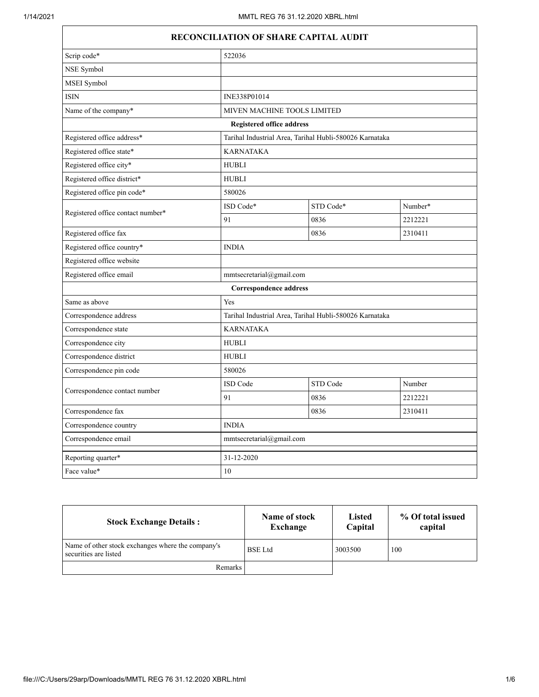$\Gamma$ 

| RECONCILIATION OF SHARE CAPITAL AUDIT |                                  |                                                         |         |  |
|---------------------------------------|----------------------------------|---------------------------------------------------------|---------|--|
| Scrip code*                           | 522036                           |                                                         |         |  |
| NSE Symbol                            |                                  |                                                         |         |  |
| MSEI Symbol                           |                                  |                                                         |         |  |
| <b>ISIN</b>                           | INE338P01014                     |                                                         |         |  |
| Name of the company*                  |                                  | MIVEN MACHINE TOOLS LIMITED                             |         |  |
|                                       | <b>Registered office address</b> |                                                         |         |  |
| Registered office address*            |                                  | Tarihal Industrial Area, Tarihal Hubli-580026 Karnataka |         |  |
| Registered office state*              | <b>KARNATAKA</b>                 |                                                         |         |  |
| Registered office city*               | <b>HUBLI</b>                     |                                                         |         |  |
| Registered office district*           | <b>HUBLI</b>                     |                                                         |         |  |
| Registered office pin code*           | 580026                           |                                                         |         |  |
| Registered office contact number*     | ISD Code*                        | STD Code*                                               | Number* |  |
|                                       | 91                               | 0836                                                    | 2212221 |  |
| Registered office fax                 |                                  | 0836                                                    | 2310411 |  |
| Registered office country*            | <b>INDIA</b>                     |                                                         |         |  |
| Registered office website             |                                  |                                                         |         |  |
| Registered office email               | mmtsecretarial@gmail.com         |                                                         |         |  |
|                                       | <b>Correspondence address</b>    |                                                         |         |  |
| Same as above                         | Yes                              |                                                         |         |  |
| Correspondence address                |                                  | Tarihal Industrial Area, Tarihal Hubli-580026 Karnataka |         |  |
| Correspondence state                  | <b>KARNATAKA</b>                 |                                                         |         |  |
| Correspondence city                   | <b>HUBLI</b>                     |                                                         |         |  |
| Correspondence district               | <b>HUBLI</b>                     |                                                         |         |  |
| Correspondence pin code               | 580026                           |                                                         |         |  |
|                                       | ISD Code                         | STD Code                                                | Number  |  |
| Correspondence contact number         | 91                               | 0836                                                    | 2212221 |  |
| Correspondence fax                    |                                  | 0836                                                    | 2310411 |  |
| Correspondence country                | <b>INDIA</b>                     |                                                         |         |  |
| Correspondence email                  | mmtsecretarial@gmail.com         |                                                         |         |  |
| Reporting quarter*                    | 31-12-2020                       |                                                         |         |  |
| Face value*                           | 10                               |                                                         |         |  |

| <b>Stock Exchange Details:</b>                                             | Name of stock<br>Exchange | <b>Listed</b><br>Capital | % Of total issued<br>capital |
|----------------------------------------------------------------------------|---------------------------|--------------------------|------------------------------|
| Name of other stock exchanges where the company's<br>securities are listed | <b>BSE</b> Ltd            | 3003500                  | 100                          |
| <b>Remarks</b>                                                             |                           |                          |                              |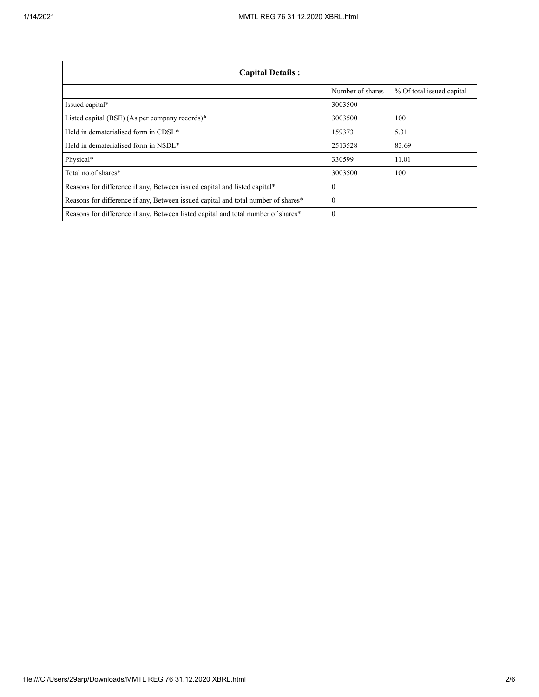| <b>Capital Details:</b>                                                           |                  |                           |
|-----------------------------------------------------------------------------------|------------------|---------------------------|
|                                                                                   | Number of shares | % Of total issued capital |
| Issued capital*                                                                   | 3003500          |                           |
| Listed capital (BSE) (As per company records)*                                    | 3003500          | 100                       |
| Held in dematerialised form in CDSL*                                              | 159373           | 5.31                      |
| Held in dematerialised form in NSDL*                                              | 2513528          | 83.69                     |
| Physical*                                                                         | 330599           | 11.01                     |
| Total no.of shares*                                                               | 3003500          | 100                       |
| Reasons for difference if any, Between issued capital and listed capital*         | $\Omega$         |                           |
| Reasons for difference if any, Between issued capital and total number of shares* | $\Omega$         |                           |
| Reasons for difference if any, Between listed capital and total number of shares* | $\Omega$         |                           |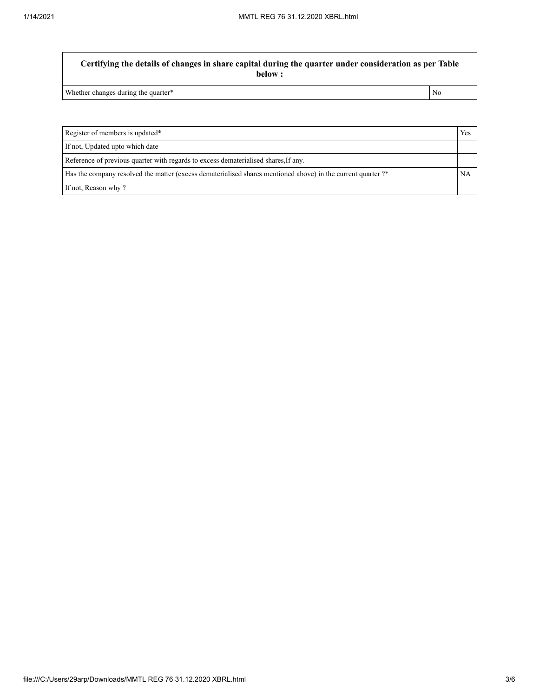**Certifying the details of changes in share capital during the quarter under consideration as per Table below :**

Whether changes during the quarter\* No

Register of members is updated\* Yes If not, Updated upto which date Reference of previous quarter with regards to excess dematerialised shares,If any. Has the company resolved the matter (excess dematerialised shares mentioned above) in the current quarter ?\* NA If not, Reason why ?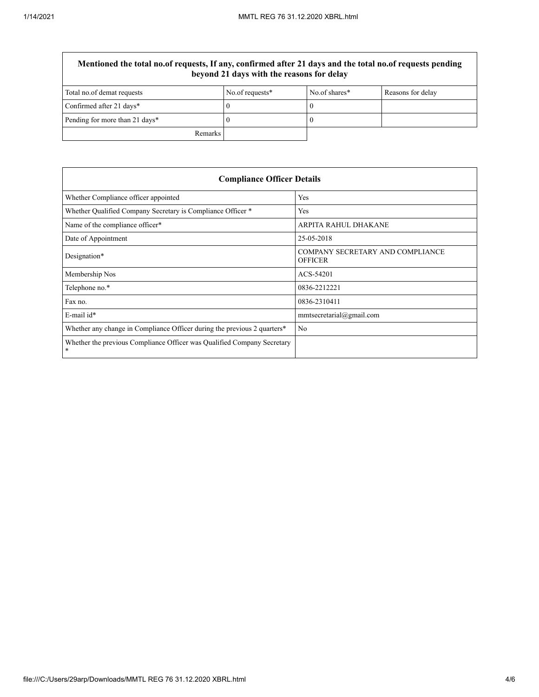$\overline{\Gamma}$ 

| Mentioned the total no.of requests, If any, confirmed after 21 days and the total no.of requests pending<br>beyond 21 days with the reasons for delay |                 |               |                   |
|-------------------------------------------------------------------------------------------------------------------------------------------------------|-----------------|---------------|-------------------|
| Total no.of demat requests                                                                                                                            | No.of requests* | No.of shares* | Reasons for delay |
| Confirmed after 21 days*                                                                                                                              |                 |               |                   |
| Pending for more than 21 days*                                                                                                                        |                 |               |                   |
| <b>Remarks</b>                                                                                                                                        |                 |               |                   |

| <b>Compliance Officer Details</b>                                                    |                                                    |  |
|--------------------------------------------------------------------------------------|----------------------------------------------------|--|
| Whether Compliance officer appointed                                                 | Yes                                                |  |
| Whether Qualified Company Secretary is Compliance Officer *                          | Yes                                                |  |
| Name of the compliance officer*                                                      | ARPITA RAHUL DHAKANE                               |  |
| Date of Appointment                                                                  | 25-05-2018                                         |  |
| Designation*                                                                         | COMPANY SECRETARY AND COMPLIANCE<br><b>OFFICER</b> |  |
| Membership Nos                                                                       | ACS-54201                                          |  |
| Telephone no.*                                                                       | 0836-2212221                                       |  |
| Fax no.                                                                              | 0836-2310411                                       |  |
| $E$ -mail id*                                                                        | mmtsecretarial@gmail.com                           |  |
| Whether any change in Compliance Officer during the previous 2 quarters <sup>*</sup> | No                                                 |  |
| Whether the previous Compliance Officer was Qualified Company Secretary<br>*         |                                                    |  |

 $\overline{1}$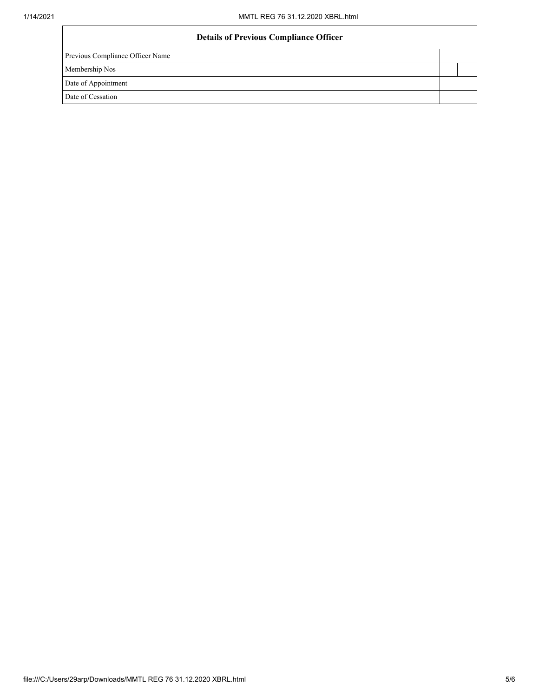| <b>Details of Previous Compliance Officer</b> |  |
|-----------------------------------------------|--|
| Previous Compliance Officer Name              |  |
| Membership Nos                                |  |
| Date of Appointment                           |  |
| Date of Cessation                             |  |